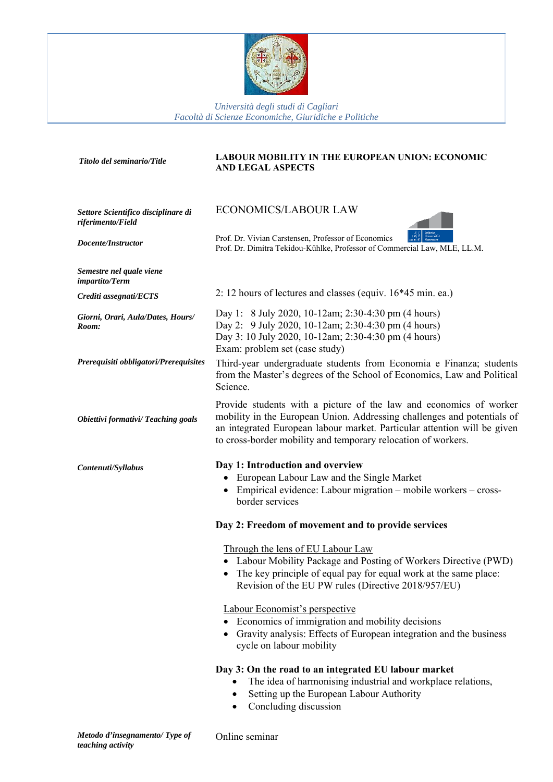

*Università degli studi di Cagliari Facoltà di Scienze Economiche, Giuridiche e Politiche*

| Titolo del seminario/Title                               | <b>LABOUR MOBILITY IN THE EUROPEAN UNION: ECONOMIC</b><br><b>AND LEGAL ASPECTS</b>                                                                                                                                                                                                         |
|----------------------------------------------------------|--------------------------------------------------------------------------------------------------------------------------------------------------------------------------------------------------------------------------------------------------------------------------------------------|
| Settore Scientifico disciplinare di<br>riferimento/Field | <b>ECONOMICS/LABOUR LAW</b>                                                                                                                                                                                                                                                                |
| Docente/Instructor                                       | Prof. Dr. Vivian Carstensen, Professor of Economics<br>Prof. Dr. Dimitra Tekidou-Kühlke, Professor of Commercial Law, MLE, LL.M.                                                                                                                                                           |
| Semestre nel quale viene<br>impartito/Term               |                                                                                                                                                                                                                                                                                            |
| Crediti assegnati/ECTS                                   | 2: 12 hours of lectures and classes (equiv. $16*45$ min. ea.)                                                                                                                                                                                                                              |
| Giorni, Orari, Aula/Dates, Hours/<br>Room:               | Day 1: 8 July 2020, 10-12am; 2:30-4:30 pm (4 hours)<br>Day 2: 9 July 2020, 10-12am; 2:30-4:30 pm (4 hours)<br>Day 3: 10 July 2020, 10-12am; 2:30-4:30 pm (4 hours)<br>Exam: problem set (case study)                                                                                       |
| Prerequisiti obbligatori/Prerequisites                   | Third-year undergraduate students from Economia e Finanza; students<br>from the Master's degrees of the School of Economics, Law and Political<br>Science.                                                                                                                                 |
| <b>Obiettivi formativi/ Teaching goals</b>               | Provide students with a picture of the law and economics of worker<br>mobility in the European Union. Addressing challenges and potentials of<br>an integrated European labour market. Particular attention will be given<br>to cross-border mobility and temporary relocation of workers. |
| Contenuti/Syllabus                                       | Day 1: Introduction and overview<br>European Labour Law and the Single Market<br>Empirical evidence: Labour migration – mobile workers – cross-<br>border services                                                                                                                         |
|                                                          | Day 2: Freedom of movement and to provide services                                                                                                                                                                                                                                         |
|                                                          | Through the lens of EU Labour Law<br>Labour Mobility Package and Posting of Workers Directive (PWD)<br>The key principle of equal pay for equal work at the same place:<br>Revision of the EU PW rules (Directive 2018/957/EU)                                                             |
|                                                          | Labour Economist's perspective<br>Economics of immigration and mobility decisions<br>Gravity analysis: Effects of European integration and the business<br>cycle on labour mobility                                                                                                        |
|                                                          | Day 3: On the road to an integrated EU labour market<br>The idea of harmonising industrial and workplace relations,<br>Setting up the European Labour Authority<br>Concluding discussion                                                                                                   |

Online seminar